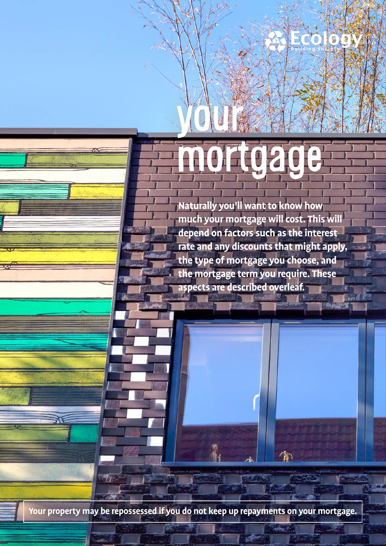# your mortgage

T

**Naturally you'll want to know how much your mortgage will cost. This will depend on factors such as the interest rate and any discounts that might apply, the type of mortgage you choose, and the mortgage term you require. These aspects are described overleaf.**

喻

**Your property may be repossessed if you do not keep up repayments on your mortgage.**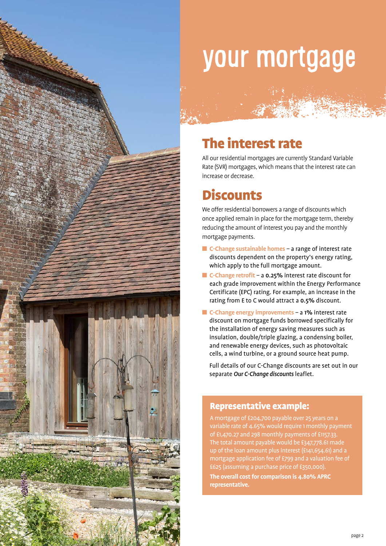

## your mortgage

## The interest rate

All our residential mortgages are currently Standard Variable Rate (SVR) mortgages, which means that the interest rate can increase or decrease.

"那么……"

## **Discounts**

We offer residential borrowers a range of discounts which once applied remain in place for the mortgage term, thereby reducing the amount of interest you pay and the monthly mortgage payments.

- C-Change sustainable homes a range of interest rate discounts dependent on the property's energy rating, which apply to the full mortgage amount.
- C-Change retrofit a 0.25% interest rate discount for each grade improvement within the Energy Performance Certificate (EPC) rating. For example, an increase in the rating from E to C would attract a 0.5% discount.
- C-Change energy improvements a 1% interest rate discount on mortgage funds borrowed specifically for the installation of energy saving measures such as insulation, double/triple glazing, a condensing boiler, and renewable energy devices, such as photovoltaic cells, a wind turbine, or a ground source heat pump.

 Full details of our C-Change discounts are set out in our separate *Our C-Change discounts* leaflet.

#### Representative example:

A mortgage of £204,700 payable over 25 years on a variable rate of 4.65% would require 1 monthly payment of £1,470.27 and 298 monthly payments of £1157.33. The total amount payable would be £347,778.61 made up of the loan amount plus interest (£141,654.61) and a mortgage application fee of £799 and a valuation fee of £625 (assuming a purchase price of £350,000).

**The overall cost for comparison is 4.80% APRC representative.**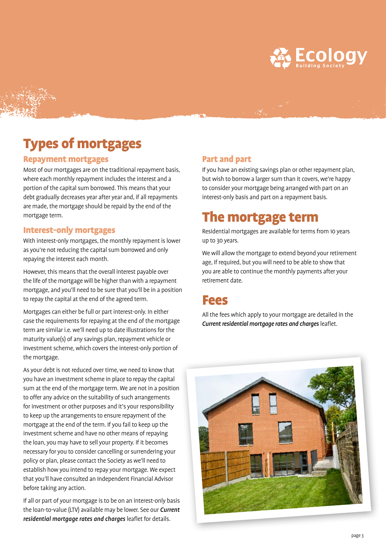

## Types of mortgages

#### Repayment mortgages

Most of our mortgages are on the traditional repayment basis, where each monthly repayment includes the interest and a portion of the capital sum borrowed. This means that your debt gradually decreases year after year and, if all repayments are made, the mortgage should be repaid by the end of the mortgage term.

#### Interest-only mortgages

With interest-only mortgages, the monthly repayment is lower as you're not reducing the capital sum borrowed and only repaying the interest each month.

However, this means that the overall interest payable over the life of the mortgage will be higher than with a repayment mortgage, and you'll need to be sure that you'll be in a position to repay the capital at the end of the agreed term.

Mortgages can either be full or part interest-only. In either case the requirements for repaying at the end of the mortgage term are similar i.e. we'll need up to date illustrations for the maturity value(s) of any savings plan, repayment vehicle or investment scheme, which covers the interest-only portion of the mortgage.

As your debt is not reduced over time, we need to know that you have an investment scheme in place to repay the capital sum at the end of the mortgage term. We are not in a position to offer any advice on the suitability of such arrangements for investment or other purposes and it's your responsibility to keep up the arrangements to ensure repayment of the mortgage at the end of the term. If you fail to keep up the investment scheme and have no other means of repaying the loan, you may have to sell your property. If it becomes necessary for you to consider cancelling or surrendering your policy or plan, please contact the Society as we'll need to establish how you intend to repay your mortgage. We expect that you'll have consulted an Independent Financial Advisor before taking any action.

If all or part of your mortgage is to be on an interest-only basis the loan-to-value (LTV) available may be lower. See our *Current residential mortgage rates and charges* leaflet for details.

#### Part and part

If you have an existing savings plan or other repayment plan, but wish to borrow a larger sum than it covers, we're happy to consider your mortgage being arranged with part on an interest-only basis and part on a repayment basis.

### The mortgage term

Residential mortgages are available for terms from 10 years up to 30 years.

We will allow the mortgage to extend beyond your retirement age, if required, but you will need to be able to show that you are able to continue the monthly payments after your retirement date.

### Fees

All the fees which apply to your mortgage are detailed in the *Current residential mortgage rates and charges* leaflet.